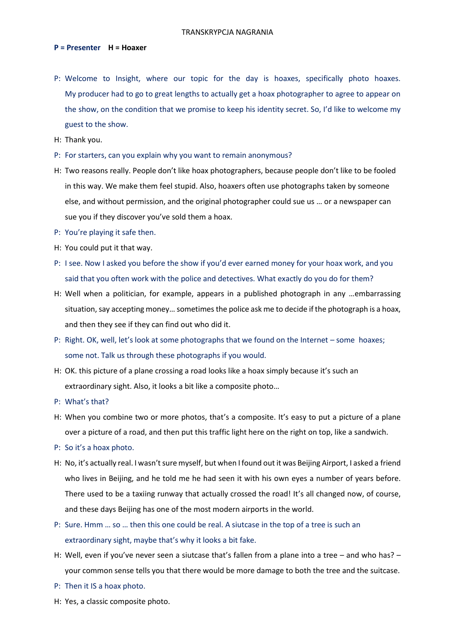## **P = Presenter H = Hoaxer**

- P: Welcome to Insight, where our topic for the day is hoaxes, specifically photo hoaxes. My producer had to go to great lengths to actually get a hoax photographer to agree to appear on the show, on the condition that we promise to keep his identity secret. So, I'd like to welcome my guest to the show.
- H: Thank you.
- P: For starters, can you explain why you want to remain anonymous?
- H: Two reasons really. People don't like hoax photographers, because people don't like to be fooled in this way. We make them feel stupid. Also, hoaxers often use photographs taken by someone else, and without permission, and the original photographer could sue us … or a newspaper can sue you if they discover you've sold them a hoax.
- P: You're playing it safe then.
- H: You could put it that way.
- P: I see. Now I asked you before the show if you'd ever earned money for your hoax work, and you said that you often work with the police and detectives. What exactly do you do for them?
- H: Well when a politician, for example, appears in a published photograph in any …embarrassing situation, say accepting money… sometimes the police ask me to decide if the photograph is a hoax, and then they see if they can find out who did it.
- P: Right. OK, well, let's look at some photographs that we found on the Internet some hoaxes; some not. Talk us through these photographs if you would.
- H: OK. this picture of a plane crossing a road looks like a hoax simply because it's such an extraordinary sight. Also, it looks a bit like a composite photo…
- P: What's that?
- H: When you combine two or more photos, that's a composite. It's easy to put a picture of a plane over a picture of a road, and then put this traffic light here on the right on top, like a sandwich.
- P: So it's a hoax photo.
- H: No, it's actually real. I wasn't sure myself, but when I found out it was Beijing Airport, I asked a friend who lives in Beijing, and he told me he had seen it with his own eyes a number of years before. There used to be a taxiing runway that actually crossed the road! It's all changed now, of course, and these days Beijing has one of the most modern airports in the world.
- P: Sure. Hmm … so … then this one could be real. A siutcase in the top of a tree is such an extraordinary sight, maybe that's why it looks a bit fake.
- H: Well, even if you've never seen a siutcase that's fallen from a plane into a tree and who has? your common sense tells you that there would be more damage to both the tree and the suitcase.
- P: Then it IS a hoax photo.
- H: Yes, a classic composite photo.